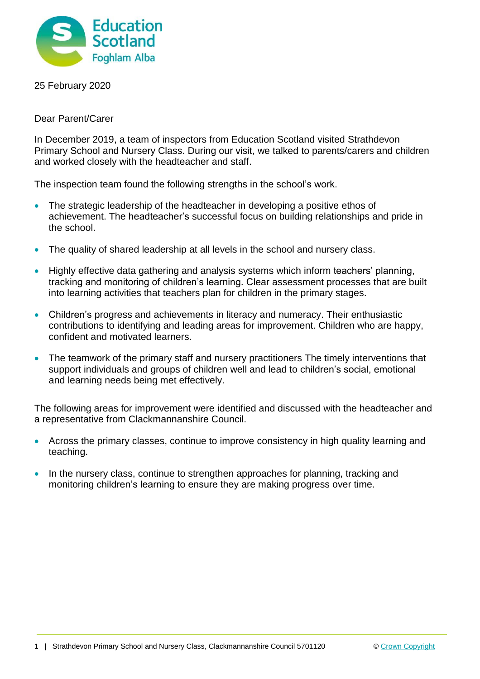

25 February 2020

Dear Parent/Carer

In December 2019, a team of inspectors from Education Scotland visited Strathdevon Primary School and Nursery Class. During our visit, we talked to parents/carers and children and worked closely with the headteacher and staff.

The inspection team found the following strengths in the school's work.

- The strategic leadership of the headteacher in developing a positive ethos of achievement. The headteacher's successful focus on building relationships and pride in the school.
- The quality of shared leadership at all levels in the school and nursery class.
- Highly effective data gathering and analysis systems which inform teachers' planning, tracking and monitoring of children's learning. Clear assessment processes that are built into learning activities that teachers plan for children in the primary stages.
- Children's progress and achievements in literacy and numeracy. Their enthusiastic contributions to identifying and leading areas for improvement. Children who are happy, confident and motivated learners.
- The teamwork of the primary staff and nursery practitioners The timely interventions that support individuals and groups of children well and lead to children's social, emotional and learning needs being met effectively.

The following areas for improvement were identified and discussed with the headteacher and a representative from Clackmannanshire Council.

- Across the primary classes, continue to improve consistency in high quality learning and teaching.
- In the nursery class, continue to strengthen approaches for planning, tracking and monitoring children's learning to ensure they are making progress over time.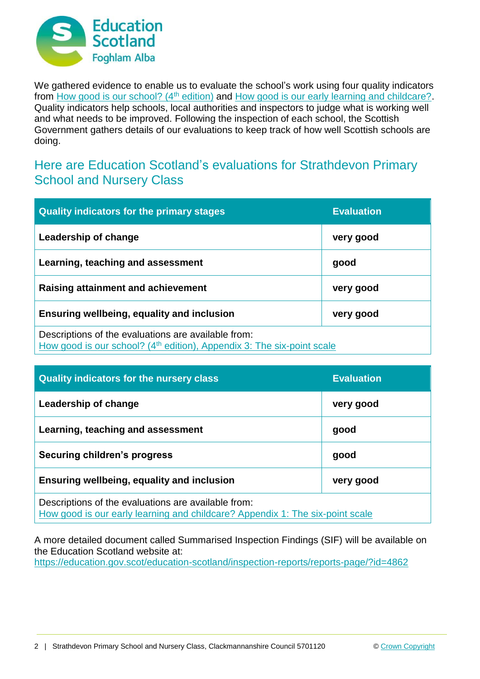

We gathered evidence to enable us to evaluate the school's work using four quality indicators from [How good is our school? \(4](https://education.gov.scot/improvement/Documents/Frameworks_SelfEvaluation/FRWK2_NIHeditHGIOS/FRWK2_HGIOS4.pdf)<sup>th</sup> edition) and [How good is our early learning and childcare?.](https://education.gov.scot/improvement/Documents/Frameworks_SelfEvaluation/FRWK1_NIHeditSelf-evaluationHGIELC/HGIOELC020316Revised.pdf) Quality indicators help schools, local authorities and inspectors to judge what is working well and what needs to be improved. Following the inspection of each school, the Scottish Government gathers details of our evaluations to keep track of how well Scottish schools are doing.

## Here are Education Scotland's evaluations for Strathdevon Primary School and Nursery Class

| <b>Quality indicators for the primary stages</b>                                                                                          | <b>Evaluation</b> |
|-------------------------------------------------------------------------------------------------------------------------------------------|-------------------|
| Leadership of change                                                                                                                      | very good         |
| Learning, teaching and assessment                                                                                                         | good              |
| Raising attainment and achievement                                                                                                        | very good         |
| <b>Ensuring wellbeing, equality and inclusion</b>                                                                                         | very good         |
| Descriptions of the evaluations are available from:<br>How good is our school? (4 <sup>th</sup> edition), Appendix 3: The six-point scale |                   |

| <b>Quality indicators for the nursery class</b>                                                                                      | <b>Evaluation</b> |
|--------------------------------------------------------------------------------------------------------------------------------------|-------------------|
| Leadership of change                                                                                                                 | very good         |
| Learning, teaching and assessment                                                                                                    | good              |
| Securing children's progress                                                                                                         | good              |
| Ensuring wellbeing, equality and inclusion                                                                                           | very good         |
| Descriptions of the evaluations are available from:<br>How good is our early learning and childcare? Appendix 1: The six-point scale |                   |

A more detailed document called Summarised Inspection Findings (SIF) will be available on the Education Scotland website at:

<https://education.gov.scot/education-scotland/inspection-reports/reports-page/?id=4862>